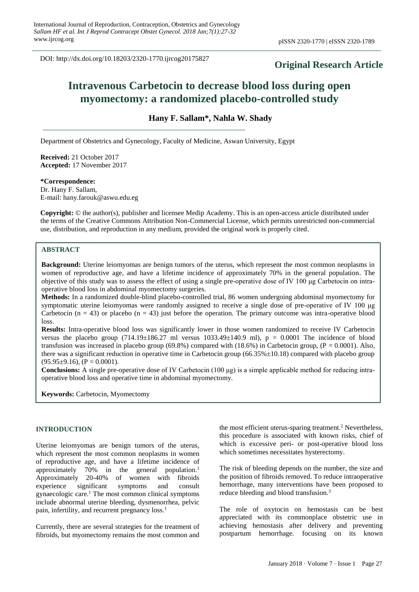DOI: http://dx.doi.org/10.18203/2320-1770.ijrcog20175827

## **Original Research Article**

# **Intravenous Carbetocin to decrease blood loss during open myomectomy: a randomized placebo-controlled study**

**Hany F. Sallam\*, Nahla W. Shady**

Department of Obstetrics and Gynecology, Faculty of Medicine, Aswan University, Egypt

**Received:** 21 October 2017 **Accepted:** 17 November 2017

**\*Correspondence:**

Dr. Hany F. Sallam, E-mail: hany.farouk@aswu.edu.eg

**Copyright:** © the author(s), publisher and licensee Medip Academy. This is an open-access article distributed under the terms of the Creative Commons Attribution Non-Commercial License, which permits unrestricted non-commercial use, distribution, and reproduction in any medium, provided the original work is properly cited.

## **ABSTRACT**

**Background:** Uterine leiomyomas are benign tumors of the uterus, which represent the most common neoplasms in women of reproductive age, and have a lifetime incidence of approximately 70% in the general population. The objective of this study was to assess the effect of using a single pre-operative dose of IV 100 μg Carbetocin on intraoperative blood loss in abdominal myomectomy surgeries.

**Methods:** In a randomized double-blind placebo-controlled trial, 86 women undergoing abdominal myomectomy for symptomatic uterine leiomyomas were randomly assigned to receive a single dose of pre-operative of IV 100 μg Carbetocin (n = 43) or placebo (n = 43) just before the operation. The primary outcome was intra-operative blood loss.

**Results:** Intra-operative blood loss was significantly lower in those women randomized to receive IV Carbetocin versus the placebo group  $(714.19\pm186.27 \text{ ml}$  versus  $1033.49\pm140.9 \text{ ml}$ ,  $p = 0.0001$  The incidence of blood transfusion was increased in placebo group (69.8%) compared with  $(18.6%)$  in Carbetocin group,  $(P = 0.0001)$ . Also, there was a significant reduction in operative time in Carbetocin group (66.35% $\pm$ 10.18) compared with placebo group  $(95.95\pm9.16)$ ,  $(P = 0.0001)$ .

**Conclusions:** A single pre-operative dose of IV Carbetocin (100 μg) is a simple applicable method for reducing intraoperative blood loss and operative time in abdominal myomectomy.

**Keywords:** Carbetocin, Myomectomy

### **INTRODUCTION**

Uterine leiomyomas are benign tumors of the uterus, which represent the most common neoplasms in women of reproductive age, and have a lifetime incidence of approximately 70% in the general population.<sup>1</sup> Approximately 20-40% of women with fibroids experience significant symptoms and consult gynaecologic care.<sup>1</sup> The most common clinical symptoms include abnormal uterine bleeding, dysmenorrhea, pelvic pain, infertility, and recurrent pregnancy loss.<sup>1</sup>

Currently, there are several strategies for the treatment of fibroids, but myomectomy remains the most common and the most efficient uterus-sparing treatment.<sup>2</sup> Nevertheless, this procedure is associated with known risks, chief of which is excessive peri- or post-operative blood loss which sometimes necessitates hysterectomy.

The risk of bleeding depends on the number, the size and the position of fibroids removed. To reduce intraoperative hemorrhage, many interventions have been proposed to reduce bleeding and blood transfusion.<sup>3</sup>

The role of oxytocin on hemostasis can be best appreciated with its commonplace obstetric use in achieving hemostasis after delivery and preventing postpartum hemorrhage. focusing on its known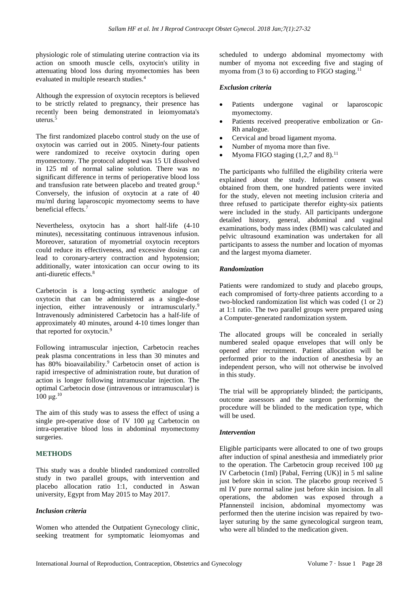physiologic role of stimulating uterine contraction via its action on smooth muscle cells, oxytocin's utility in attenuating blood loss during myomectomies has been evaluated in multiple research studies.<sup>4</sup>

Although the expression of oxytocin receptors is believed to be strictly related to pregnancy, their presence has recently been being demonstrated in leiomyomata's uterus.<sup>5</sup>

The first randomized placebo control study on the use of oxytocin was carried out in 2005. Ninety-four patients were randomized to receive oxytocin during open myomectomy. The protocol adopted was 15 UI dissolved in 125 ml of normal saline solution. There was no significant difference in terms of perioperative blood loss and transfusion rate between placebo and treated group.<sup>6</sup> Conversely, the infusion of oxytocin at a rate of 40 mu/ml during laparoscopic myomectomy seems to have beneficial effects.<sup>7</sup>

Nevertheless, oxytocin has a short half-life (4-10 minutes), necessitating continuous intravenous infusion. Moreover, saturation of myometrial oxytocin receptors could reduce its effectiveness, and excessive dosing can lead to coronary-artery contraction and hypotension; additionally, water intoxication can occur owing to its anti-diuretic effects.<sup>8</sup>

Carbetocin is a long-acting synthetic analogue of oxytocin that can be administered as a single-dose injection, either intravenously or intramuscularly.<sup>9</sup> Intravenously administered Carbetocin has a half-life of approximately 40 minutes, around 4-10 times longer than that reported for oxytocin.<sup>9</sup>

Following intramuscular injection, Carbetocin reaches peak plasma concentrations in less than 30 minutes and has 80% bioavailability. <sup>9</sup> Carbetocin onset of action is rapid irrespective of administration route, but duration of action is longer following intramuscular injection. The optimal Carbetocin dose (intravenous or intramuscular) is  $100 \mu$ g.<sup>10</sup>

The aim of this study was to assess the effect of using a single pre-operative dose of IV 100 μg Carbetocin on intra-operative blood loss in abdominal myomectomy surgeries.

#### **METHODS**

This study was a double blinded randomized controlled study in two parallel groups, with intervention and placebo allocation ratio 1:1, conducted in Aswan university, Egypt from May 2015 to May 2017.

#### *Inclusion criteria*

Women who attended the Outpatient Gynecology clinic, seeking treatment for symptomatic leiomyomas and scheduled to undergo abdominal myomectomy with number of myoma not exceeding five and staging of myoma from  $(3 \text{ to } 6)$  according to FIGO staging.<sup>11</sup>

## *Exclusion criteria*

- Patients undergone vaginal or laparoscopic myomectomy.
- Patients received preoperative embolization or Gn-Rh analogue.
- Cervical and broad ligament myoma.
- Number of myoma more than five.
- Myoma FIGO staging  $(1,2,7 \text{ and } 8).$ <sup>11</sup>

The participants who fulfilled the eligibility criteria were explained about the study. Informed consent was obtained from them, one hundred patients were invited for the study, eleven not meeting inclusion criteria and three refused to participate therefor eighty-six patients were included in the study. All participants undergone detailed history, general, abdominal and vaginal examinations, body mass index (BMI) was calculated and pelvic ultrasound examination was undertaken for all participants to assess the number and location of myomas and the largest myoma diameter.

#### *Randomization*

Patients were randomized to study and placebo groups, each compromised of forty-three patients according to a two-blocked randomization list which was coded (1 or 2) at 1:1 ratio. The two parallel groups were prepared using a Computer-generated randomization system.

The allocated groups will be concealed in serially numbered sealed opaque envelopes that will only be opened after recruitment. Patient allocation will be performed prior to the induction of anesthesia by an independent person, who will not otherwise be involved in this study.

The trial will be appropriately blinded; the participants, outcome assessors and the surgeon performing the procedure will be blinded to the medication type, which will be used.

#### *Intervention*

Eligible participants were allocated to one of two groups after induction of spinal anesthesia and immediately prior to the operation. The Carbetocin group received 100 μg IV Carbetocin (1ml) [Pabal, Ferring (UK)] in 5 ml saline just before skin in scion. The placebo group received 5 ml IV pure normal saline just before skin incision. In all operations, the abdomen was exposed through a Pfannensteil incision, abdominal myomectomy was performed then the uterine incision was repaired by twolayer suturing by the same gynecological surgeon team, who were all blinded to the medication given.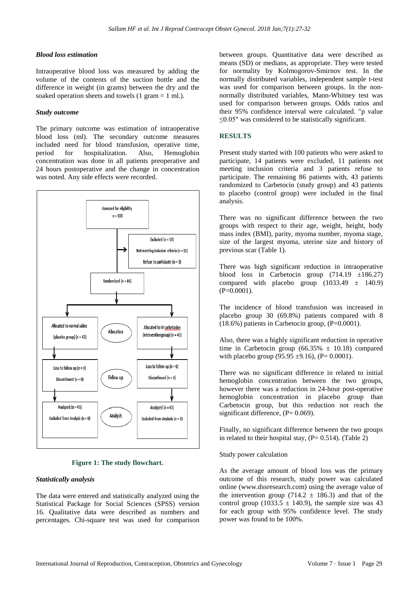#### *Blood loss estimation*

Intraoperative blood loss was measured by adding the volume of the contents of the suction bottle and the difference in weight (in grams) between the dry and the soaked operation sheets and towels (1 gram = 1 ml.).

#### *Study outcome*

The primary outcome was estimation of intraoperative blood loss (ml). The secondary outcome measures included need for blood transfusion, operative time, period for hospitalization. Also, Hemoglobin concentration was done in all patients preoperative and 24 hours postoperative and the change in concentration was noted. Any side effects were recorded.



**Figure 1: The study flowchart.**

#### *Statistically analysis*

The data were entered and statistically analyzed using the Statistical Package for Social Sciences (SPSS) version 16. Qualitative data were described as numbers and percentages. Chi-square test was used for comparison between groups. Quantitative data were described as means (SD) or medians, as appropriate. They were tested for normality by Kolmogorov-Smirnov test. In the normally distributed variables, independent sample t-test was used for comparison between groups. In the nonnormally distributed variables, Mann-Whitney test was used for comparison between groups. Odds ratios and their 95% confidence interval were calculated. "p value ≤0.05" was considered to be statistically significant.

#### **RESULTS**

Present study started with 100 patients who were asked to participate, 14 patients were excluded, 11 patients not meeting inclusion criteria and 3 patients refuse to participate. The remaining 86 patients with, 43 patients randomized to Carbetocin (study group) and 43 patients to placebo (control group) were included in the final analysis.

There was no significant difference between the two groups with respect to their age, weight, height, body mass index (BMI), parity, myoma number, myoma stage, size of the largest myoma, uterine size and history of previous scar (Table 1).

There was high significant reduction in intraoperative blood loss in Carbetocin group  $(714.19 \pm 186.27)$ compared with placebo group  $(1033.49 \pm 140.9)$  $(P=0.0001)$ .

The incidence of blood transfusion was increased in placebo group 30 (69.8%) patients compared with 8  $(18.6\%)$  patients in Carbetocin group,  $(P=0.0001)$ .

Also, there was a highly significant reduction in operative time in Carbetocin group  $(66.35\% \pm 10.18)$  compared with placebo group (95.95  $\pm$ 9.16), (P= 0.0001).

There was no significant difference in related to initial hemoglobin concentration between the two groups, however there was a reduction in 24-hour post-operative hemoglobin concentration in placebo group than Carbetocin group, but this reduction not reach the significant difference,  $(P= 0.069)$ .

Finally, no significant difference between the two groups in related to their hospital stay,  $(P= 0.514)$ . (Table 2)

#### Study power calculation

As the average amount of blood loss was the primary outcome of this research, study power was calculated online (www.dssresearch.com) using the average value of the intervention group (714.2  $\pm$  186.3) and that of the control group (1033.5  $\pm$  140.9), the sample size was 43 for each group with 95% confidence level. The study power was found to be 100%.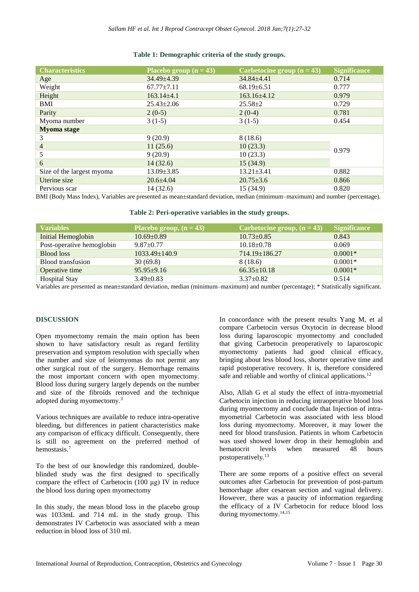| <b>Characteristics</b>    | Placebo group $(n = 43)$ | Carbetocine group $(n = 43)$ | <b>Significance</b> |
|---------------------------|--------------------------|------------------------------|---------------------|
| Age                       | $34.49 \pm 4.39$         | $34.84 \pm 4.41$             | 0.714               |
| Weight                    | $67.77 \pm 7.11$         | $68.19 \pm 6.51$             | 0.777               |
| Height                    | $163.14 \pm 4.1$         | $163.16\pm4.12$              | 0.979               |
| BMI                       | $25.43 \pm 2.06$         | $25.58 \pm 2$                | 0.729               |
| Parity                    | $2(0-5)$                 | $2(0-4)$                     | 0.781               |
| Myoma number              | $3(1-5)$                 | $3(1-5)$                     | 0.454               |
| <b>Myoma</b> stage        |                          |                              |                     |
| 3                         | 9(20.9)                  | 8(18.6)                      | 0.979               |
| $\overline{4}$            | 11(25.6)                 | 10(23.3)                     |                     |
| 5                         | 9(20.9)                  | 10(23.3)                     |                     |
| 6                         | 14(32.6)                 | 15(34.9)                     |                     |
| Size of the largest myoma | $13.09 \pm 3.85$         | $13.21 \pm 3.41$             | 0.882               |
| Uterine size              | $20.6 \pm 4.04$          | $20.75 \pm 3.6$              | 0.866               |
| Pervious scar             | 14(32.6)                 | 15(34.9)                     | 0.820               |

#### **Table 1: Demographic criteria of the study groups.**

BMI (Body Mass Index), Variables are presented as mean±standard deviation, median (minimum–maximum) and number (percentage).

**Table 2: Peri-operative variables in the study groups.**

| <b>Variables</b>          | Placebo group, $(n = 43)$ | Carbetocine group, $(n = 43)$ | <b>Significance</b> |
|---------------------------|---------------------------|-------------------------------|---------------------|
| Initial Hemoglobin        | $10.69 \pm 0.89$          | $10.73 \pm 0.85$              | 0.843               |
| Post-operative hemoglobin | $9.87 \pm 0.77$           | $10.18 \pm 0.78$              | 0.069               |
| <b>Blood</b> loss         | $1033.49 \pm 140.9$       | $714.19 \pm 186.27$           | $0.0001*$           |
| Blood transfusion         | 30(69.8)                  | 8 (18.6)                      | $0.0001*$           |
| Operative time            | $95.95 \pm 9.16$          | $66.35 \pm 10.18$             | $0.0001*$           |
| <b>Hospital Stay</b>      | $3.49 \pm 0.83$           | $3.37 \pm 0.82$               | 0.514               |

Variables are presented as mean±standard deviation, median (minimum–maximum) and number (percentage); \* Statistically significant.

#### **DISCUSSION**

Open myomectomy remain the main option has been shown to have satisfactory result as regard fertility preservation and symptom resolution with specially when the number and size of leiomyomas do not permit any other surgical rout of the surgery. Hemorrhage remains the most important concern with open myomectomy. Blood loss during surgery largely depends on the number and size of the fibroids removed and the technique adopted during myomectomy.<sup>3</sup>

Various techniques are available to reduce intra-operative bleeding, but differences in patient characteristics make any comparison of efficacy difficult. Consequently, there is still no agreement on the preferred method of hemostasis.<sup>7</sup>

To the best of our knowledge this randomized, doubleblinded study was the first designed to specifically compare the effect of Carbetocin (100 μg) IV in reduce the blood loss during open myomectomy

In this study, the mean blood loss in the placebo group was 1033mL and 714 mL in the study group. This demonstrates IV Carbetocin was associated with a mean reduction in blood loss of 310 ml.

In concordance with the present results Yang M, et al compare Carbetocin versus Oxytocin in decrease blood loss during laparoscopic myomectomy and concluded that giving Carbetocin preoperatively to laparoscopic myomectomy patients had good clinical efficacy, bringing about less blood loss, shorter operative time and rapid postoperative recovery. It is, therefore considered safe and reliable and worthy of clinical applications.<sup>12</sup>

Also, Allah G et al study the effect of intra-myometrial Carbetocin injection in reducing intraoperative blood loss during myomectomy and conclude that Injection of intramyometrial Carbetocin was associated with less blood loss during myomectomy. Moreover, it may lower the need for blood transfusion. Patients in whom Carbetocin was used showed lower drop in their hemoglobin and hematocrit levels when measured 48 hours postoperatively. 13

There are some reports of a positive effect on several outcomes after Carbetocin for prevention of post-partum hemorrhage after cesarean section and vaginal delivery. However, there was a paucity of information regarding the efficacy of a IV Carbetocin for reduce blood loss during myomectomy.14,15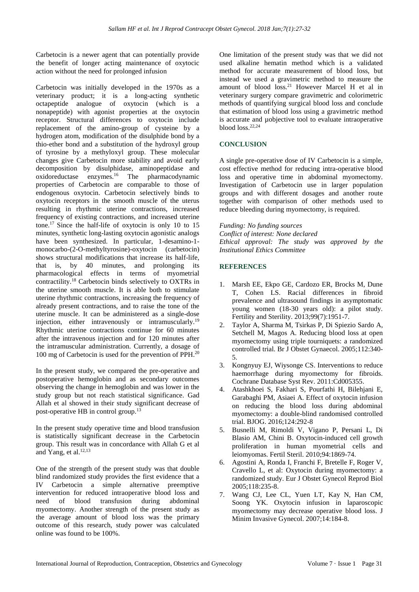Carbetocin is a newer agent that can potentially provide the benefit of longer acting maintenance of oxytocic action without the need for prolonged infusion

Carbetocin was initially developed in the 1970s as a veterinary product; it is a long-acting synthetic octapeptide analogue of oxytocin (which is a nonapeptide) with agonist properties at the oxytocin receptor. Structural differences to oxytocin include replacement of the amino-group of cysteine by a hydrogen atom, modification of the disulphide bond by a thio-ether bond and a substitution of the hydroxyl group of tyrosine by a methyloxyl group. These molecular changes give Carbetocin more stability and avoid early decomposition by disulphidase, aminopeptidase and oxidoreductase enzymes.<sup>16</sup> The pharmacodynamic properties of Carbetocin are comparable to those of endogenous oxytocin. Carbetocin selectively binds to oxytocin receptors in the smooth muscle of the uterus resulting in rhythmic uterine contractions, increased frequency of existing contractions, and increased uterine tone.<sup>17</sup> Since the half-life of oxytocin is only 10 to 15 minutes, synthetic long-lasting oxytocin agonistic analogs have been synthesized. In particular, 1-desamino-1 monocarbo-(2-O-methyltyrosine)-oxytocin (carbetocin) shows structural modifications that increase its half-life, that is, by 40 minutes, and prolonging its pharmacological effects in terms of myometrial contractility.<sup>18</sup> Carbetocin binds selectively to OXTRs in the uterine smooth muscle. It is able both to stimulate uterine rhythmic contractions, increasing the frequency of already present contractions, and to raise the tone of the uterine muscle. It can be administered as a single-dose injection, either intravenously or intramuscularly.<sup>19</sup> Rhythmic uterine contractions continue for 60 minutes after the intravenous injection and for 120 minutes after the intramuscular administration. Currently, a dosage of 100 mg of Carbetocin is used for the prevention of PPH.<sup>20</sup>

In the present study, we compared the pre-operative and postoperative hemoglobin and as secondary outcomes observing the change in hemoglobin and was lower in the study group but not reach statistical significance. Gad Allah et al showed in their study significant decrease of post-operative HB in control group.<sup>13</sup>

In the present study operative time and blood transfusion is statistically significant decrease in the Carbetocin group. This result was in concordance with Allah G et al and Yang, et al. 12,13

One of the strength of the present study was that double blind randomized study provides the first evidence that a IV Carbetocin a simple alternative preemptive intervention for reduced intraoperative blood loss and need of blood transfusion during abdominal myomectomy. Another strength of the present study as the average amount of blood loss was the primary outcome of this research, study power was calculated online was found to be 100%.

One limitation of the present study was that we did not used alkaline hematin method which is a validated method for accurate measurement of blood loss, but instead we used a gravimetric method to measure the amount of blood loss.<sup>21</sup> However Marcel H et al in veterinary surgery compare gravimetric and colorimetric methods of quantifying surgical blood loss and conclude that estimation of blood loss using a gravimetric method is accurate and µobjective tool to evaluate intraoperative blood loss. 22,24

#### **CONCLUSION**

A single pre-operative dose of IV Carbetocin is a simple, cost effective method for reducing intra-operative blood loss and operative time in abdominal myomectomy. Investigation of Carbetocin use in larger population groups and with different dosages and another route together with comparison of other methods used to reduce bleeding during myomectomy, is required.

*Funding: No funding sources Conflict of interest: None declared Ethical approval: The study was approved by the Institutional Ethics Committee*

#### **REFERENCES**

- 1. Marsh EE, Ekpo GE, Cardozo ER, Brocks M, Dune T, Cohen LS. Racial differences in fibroid prevalence and ultrasound findings in asymptomatic young women (18-30 years old): a pilot study. Fertility and Sterility. 2013;99(7):1951-7.
- 2. Taylor A, Sharma M, Tsirkas P, Di Spiezio Sardo A, Setchell M, Magos A. Reducing blood loss at open myomectomy using triple tourniquets: a randomized controlled trial. Br J Obstet Gynaecol. 2005;112:340- 5.
- 3. Kongnyuy EJ, Wiysonge CS. Interventions to reduce haemorrhage during myomectomy for fibroids. Cochrane Database Syst Rev. 2011:Cd005355.
- 4. Atashkhoei S, Fakhari S, Pourfathi H, Bilehjani E, Garabaghi PM, Asiaei A. Effect of oxytocin infusion on reducing the blood loss during abdominal myomectomy: a double-blind randomised controlled trial. BJOG. 2016;124:292-8
- 5. Busnelli M, Rimoldi V, Vigano P, Persani L, Di Blasio AM, Chini B. Oxytocin-induced cell growth proliferation in human myometrial cells and leiomyomas. Fertil Steril. 2010;94:1869-74.
- 6. Agostini A, Ronda I, Franchi F, Bretelle F, Roger V, Cravello L, et al: Oxytocin during myomectomy: a randomized study. Eur J Obstet Gynecol Reprod Biol 2005;118:235-8.
- 7. Wang CJ, Lee CL, Yuen LT, Kay N, Han CM, Soong YK. Oxytocin infusion in laparoscopic myomectomy may decrease operative blood loss. J Minim Invasive Gynecol. 2007;14:184-8.